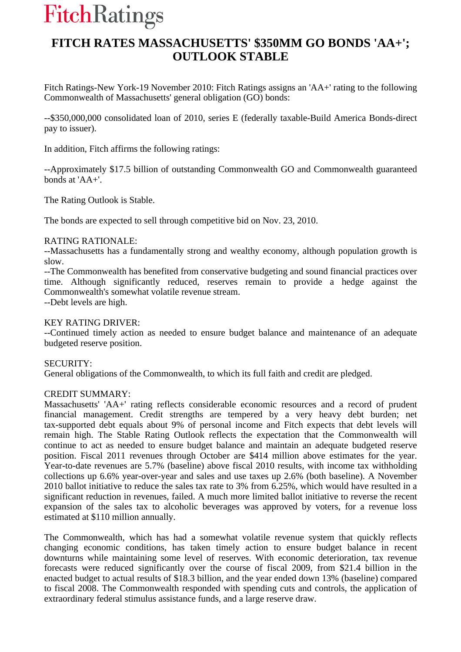# **FitchRatings**

# **FITCH RATES MASSACHUSETTS' \$350MM GO BONDS 'AA+'; OUTLOOK STABLE**

Fitch Ratings-New York-19 November 2010: Fitch Ratings assigns an 'AA+' rating to the following Commonwealth of Massachusetts' general obligation (GO) bonds:

--\$350,000,000 consolidated loan of 2010, series E (federally taxable-Build America Bonds-direct pay to issuer).

In addition, Fitch affirms the following ratings:

--Approximately \$17.5 billion of outstanding Commonwealth GO and Commonwealth guaranteed bonds at 'AA+'.

The Rating Outlook is Stable.

The bonds are expected to sell through competitive bid on Nov. 23, 2010.

## RATING RATIONALE:

--Massachusetts has a fundamentally strong and wealthy economy, although population growth is slow.

--The Commonwealth has benefited from conservative budgeting and sound financial practices over time. Although significantly reduced, reserves remain to provide a hedge against the Commonwealth's somewhat volatile revenue stream.

--Debt levels are high.

#### KEY RATING DRIVER:

--Continued timely action as needed to ensure budget balance and maintenance of an adequate budgeted reserve position.

#### SECURITY:

General obligations of the Commonwealth, to which its full faith and credit are pledged.

## CREDIT SUMMARY:

Massachusetts' 'AA+' rating reflects considerable economic resources and a record of prudent financial management. Credit strengths are tempered by a very heavy debt burden; net tax-supported debt equals about 9% of personal income and Fitch expects that debt levels will remain high. The Stable Rating Outlook reflects the expectation that the Commonwealth will continue to act as needed to ensure budget balance and maintain an adequate budgeted reserve position. Fiscal 2011 revenues through October are \$414 million above estimates for the year. Year-to-date revenues are 5.7% (baseline) above fiscal 2010 results, with income tax withholding collections up 6.6% year-over-year and sales and use taxes up 2.6% (both baseline). A November 2010 ballot initiative to reduce the sales tax rate to 3% from 6.25%, which would have resulted in a significant reduction in revenues, failed. A much more limited ballot initiative to reverse the recent expansion of the sales tax to alcoholic beverages was approved by voters, for a revenue loss estimated at \$110 million annually.

The Commonwealth, which has had a somewhat volatile revenue system that quickly reflects changing economic conditions, has taken timely action to ensure budget balance in recent downturns while maintaining some level of reserves. With economic deterioration, tax revenue forecasts were reduced significantly over the course of fiscal 2009, from \$21.4 billion in the enacted budget to actual results of \$18.3 billion, and the year ended down 13% (baseline) compared to fiscal 2008. The Commonwealth responded with spending cuts and controls, the application of extraordinary federal stimulus assistance funds, and a large reserve draw.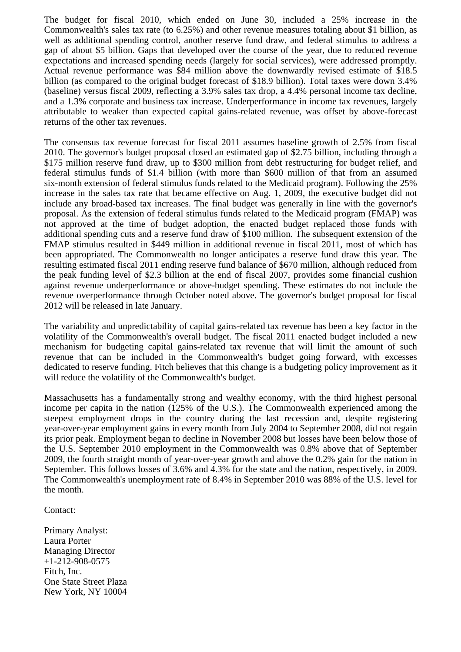The budget for fiscal 2010, which ended on June 30, included a 25% increase in the Commonwealth's sales tax rate (to 6.25%) and other revenue measures totaling about \$1 billion, as well as additional spending control, another reserve fund draw, and federal stimulus to address a gap of about \$5 billion. Gaps that developed over the course of the year, due to reduced revenue expectations and increased spending needs (largely for social services), were addressed promptly. Actual revenue performance was \$84 million above the downwardly revised estimate of \$18.5 billion (as compared to the original budget forecast of \$18.9 billion). Total taxes were down 3.4% (baseline) versus fiscal 2009, reflecting a 3.9% sales tax drop, a 4.4% personal income tax decline, and a 1.3% corporate and business tax increase. Underperformance in income tax revenues, largely attributable to weaker than expected capital gains-related revenue, was offset by above-forecast returns of the other tax revenues.

The consensus tax revenue forecast for fiscal 2011 assumes baseline growth of 2.5% from fiscal 2010. The governor's budget proposal closed an estimated gap of \$2.75 billion, including through a \$175 million reserve fund draw, up to \$300 million from debt restructuring for budget relief, and federal stimulus funds of \$1.4 billion (with more than \$600 million of that from an assumed six-month extension of federal stimulus funds related to the Medicaid program). Following the 25% increase in the sales tax rate that became effective on Aug. 1, 2009, the executive budget did not include any broad-based tax increases. The final budget was generally in line with the governor's proposal. As the extension of federal stimulus funds related to the Medicaid program (FMAP) was not approved at the time of budget adoption, the enacted budget replaced those funds with additional spending cuts and a reserve fund draw of \$100 million. The subsequent extension of the FMAP stimulus resulted in \$449 million in additional revenue in fiscal 2011, most of which has been appropriated. The Commonwealth no longer anticipates a reserve fund draw this year. The resulting estimated fiscal 2011 ending reserve fund balance of \$670 million, although reduced from the peak funding level of \$2.3 billion at the end of fiscal 2007, provides some financial cushion against revenue underperformance or above-budget spending. These estimates do not include the revenue overperformance through October noted above. The governor's budget proposal for fiscal 2012 will be released in late January.

The variability and unpredictability of capital gains-related tax revenue has been a key factor in the volatility of the Commonwealth's overall budget. The fiscal 2011 enacted budget included a new mechanism for budgeting capital gains-related tax revenue that will limit the amount of such revenue that can be included in the Commonwealth's budget going forward, with excesses dedicated to reserve funding. Fitch believes that this change is a budgeting policy improvement as it will reduce the volatility of the Commonwealth's budget.

Massachusetts has a fundamentally strong and wealthy economy, with the third highest personal income per capita in the nation (125% of the U.S.). The Commonwealth experienced among the steepest employment drops in the country during the last recession and, despite registering year-over-year employment gains in every month from July 2004 to September 2008, did not regain its prior peak. Employment began to decline in November 2008 but losses have been below those of the U.S. September 2010 employment in the Commonwealth was 0.8% above that of September 2009, the fourth straight month of year-over-year growth and above the 0.2% gain for the nation in September. This follows losses of 3.6% and 4.3% for the state and the nation, respectively, in 2009. The Commonwealth's unemployment rate of 8.4% in September 2010 was 88% of the U.S. level for the month.

#### Contact:

Primary Analyst: Laura Porter Managing Director +1-212-908-0575 Fitch, Inc. One State Street Plaza New York, NY 10004